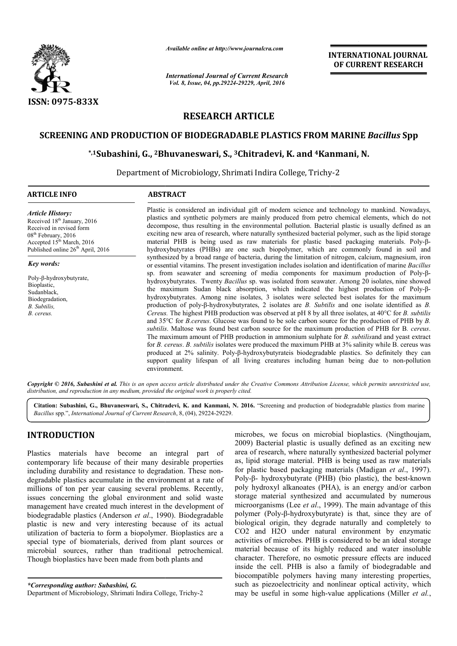

*Available online at http://www.journalcra.com*

*International Journal of Current Research Vol. 8, Issue, 04, pp.29224-29229, April, 2016*

**INTERNATIONAL JOURNAL OF CURRENT RESEARCH** 

# **RESEARCH ARTICLE**

# **SCREENING AND PRODUCTION OF BIODEGRADABLE PLASTICS FROM MARINE**  *Bacillus* **Spp**

# **\*,1Subashini, G., 2Bhuvaneswari Bhuvaneswari, S., 3Chitradevi, K. and 4Kanmani anmani, N.**

Department of Microbiology, Shrimati Indira College, Trichy College, Trichy-2  $\overline{a}$ 

#### **ARTICLE INFO ABSTRACT**

*Article History:* Received 18<sup>th</sup> January, 2016 Received in revised form 08<sup>th</sup> February, 2016 Accepted  $15<sup>th</sup> March, 2016$ Published online 26<sup>th</sup> April, 2016

#### *Key words:*

Poly-β-hydroxybutyrate, **Bioplastic** Sudanblack, Biodegradation, *B. Subtilis, B. cereus.*

Plastic is considered an individual gift of modern science and technology to mankind. Nowadays, plastics and synthetic polymers are mainly produced from petro chemical elements, which do not Plastic is considered an individual gift of modern science and technology to mankind. Nowadays, plastics and synthetic polymers are mainly produced from petro chemical elements, which do not decompose, thus resulting in th exciting new area of research, where naturally synthesized bacterial polymer, such as the lipid storage exciting new area of research, where naturally synthesized bacterial polymer, such as the lipid storage material PHB is being used as raw materials for plastic based packaging materials. Poly-βhydroxybutyrates (PHBs) are one such biopolymer, which are commonly found in soil and synthesized by a broad range of bacteria, during the limitation of nitrogen, calcium, magnesium, iron or essential vitamins. The present investigation includes isolation and identification of marine Bacillus sp. from seawater and screening of media components for maximum production of Poly-βhydroxybutyrates. Twenty *Bacillus* sp. was isolated from seawater. Among 20 isolates, nine showed hydroxybutyrates. Twenty *Bacillus* sp. was isolated from seawater. Among 20 isolates, nine showed the maximum Sudan black absorption, which indicated the highest production of Poly-βhydroxybutyrates. Among nine isolates, 3 isolates were selected best isolates for the maximum production of poly poly-β-hydroxybutyrates, 2 isolates are *B. Subtilis B. Subtilis* and one isolate identified as *B. Cereus.* The highest PHB production was observed at pH 8 by all three isolates, at 40°C for *B. subtilis* and 35°C for *B.cereus*. Glucose was found to be sole carbon source for the production of PHB by *B*. subtilis. Maltose was found best carbon source for the maximum production of PHB for B. cereus. The maximum amount of PHB production in ammonium sulphate for *B. subtilisand* and yeast extract for *B. cereus* . *B. subtilis* isolates were produced the maximum PHB at 3% salinity while B. cereus was produced at 2% salinity. Poly Poly-β-hydroxybutyrateis biodegradable plastics. So definitely they can for *B. cereus. B. subtilis* isolates were produced the maximum PHB at  $3\%$  salinity while B. cereus was produced at  $2\%$  salinity. Poly- $\beta$ -hydroxybutyrateis biodegradable plastics. So definitely they can support qual environment. hydroxybutyrates (PHBs) are one such biopolymer, which are commonly found in soil and synthesized by a broad range of bacteria, during the limitation of nitrogen, calcium, magnesium, iron or essential vitamins. The present

Copyright © 2016, Subashini et al. This is an open access article distributed under the Creative Commons Attribution License, which permits unrestricted use, *distribution, and reproduction in any medium, provided the original work is properly cited.*

Citation: Subashini, G., Bhuvaneswari, S., Chitradevi, K. and Kanmani, N. 2016. "Screening and production of biodegradable plastics from marine *Bacillus* spp.", *International Journal of Current Research* , 8, (04), 29224-29229.

# **INTRODUCTION**

Plastics materials have become an integral part of contemporary life because of their many desirable properties including durability and resistance to degradation. These nondegradable plastics accumulate in the environment at a rate of millions of ton per year causing several problems. Recently, issues concerning the global environment and solid waste management have created much interest in the development of biodegradable plastics (Anderson *et al*., 1990). Biodegradable plastic is new and very interesting because of its actual utilization of bacteria to form a biopolymer. Bioplastics are a special type of biomaterials, derived from plant sources or microbial sources, rather than traditional petrochemical. Though bioplastics have been made from both plants and

*\*Corresponding author: Subashini, G.*

microbes, we focus on microbial bioplastics. (Ningthoujam, 2009) Bacterial plastic is usually defined as an exciting new area of research, where naturally synthesized bacterial polymer as, lipid storage material. PHB is being used as raw materials for plastic based packaging materials (Madigan *et al*., 1997). Poly-β- hydroxybutyrate (PHB) (bio plastic), the best-known poly hydroxyl alkanoates (PHA), is an energy and/or carbon storage material synthesized and accumulated by numerous microorganisms (Lee *et al*., 1999). The main advantage of this polymer (Poly-β-hydroxybutyrate) is that, since they are of biological origin, they degrade naturally and completely to CO2 and H2O under natural environment by enzymatic activities of microbes. PHB is considered to be material because of its highly reduced and water insoluble character. Therefore, no osmotic pressure effects are induced inside the cell. PHB is also a family of biodegradable and biocompatible polymers having many interesting properties, such as piezoelectricity and nonlinear optical activity, which may be useful in some high-value applications (Miller *et al.*, robes, we focus on microbial bioplastics. (Ningthou) Bacterial plastic is usually defined as an exciting a of research, where naturally synthesized bacterial polysid storage material. PHB is being used as raw mate storage material synthesized and accumulated by numerous microorganisms (Lee *et al.*, 1999). The main advantage of this polymer (Poly- $\beta$ -hydroxybutyrate) is that, since they are of biological origin, they degrade natur ial because of its highly reduced and water insoluble<br>cter. Therefore, no osmotic pressure effects are induced<br>the cell. PHB is also a family of biodegradable and<br>mpatible polymers having many interesting properties,<br>as pi

Department of Microbiology, Shrimati Indira College, Trichy-2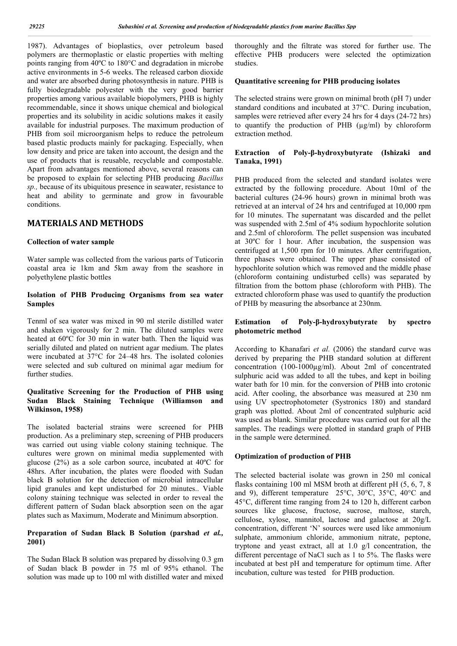1987). Advantages of bioplastics, over petroleum based polymers are thermoplastic or elastic properties with melting points ranging from 40ºC to 180°C and degradation in microbe active environments in 5-6 weeks. The released carbon dioxide and water are absorbed during photosynthesis in nature. PHB is fully biodegradable polyester with the very good barrier properties among various available biopolymers, PHB is highly recommendable, since it shows unique chemical and biological properties and its solubility in acidic solutions makes it easily available for industrial purposes. The maximum production of PHB from soil microorganism helps to reduce the petroleum based plastic products mainly for packaging. Especially, when low density and price are taken into account, the design and the use of products that is reusable, recyclable and compostable. Apart from advantages mentioned above, several reasons can be proposed to explain for selecting PHB producing *Bacillus sp.,* because of its ubiquitous presence in seawater, resistance to heat and ability to germinate and grow in favourable conditions.

# **MATERIALS AND METHODS**

#### **Collection of water sample**

Water sample was collected from the various parts of Tuticorin coastal area ie 1km and 5km away from the seashore in polyethylene plastic bottles

## **Isolation of PHB Producing Organisms from sea water Samples**

Tenml of sea water was mixed in 90 ml sterile distilled water and shaken vigorously for 2 min. The diluted samples were heated at 60ºC for 30 min in water bath. Then the liquid was serially diluted and plated on nutrient agar medium. The plates were incubated at 37°C for 24–48 hrs. The isolated colonies were selected and sub cultured on minimal agar medium for further studies.

## **Qualitative Screening for the Production of PHB using Sudan Black Staining Technique (Williamson and Wilkinson, 1958)**

The isolated bacterial strains were screened for PHB production. As a preliminary step, screening of PHB producers was carried out using viable colony staining technique. The cultures were grown on minimal media supplemented with glucose (2%) as a sole carbon source, incubated at 40ºC for 48hrs. After incubation, the plates were flooded with Sudan black B solution for the detection of microbial intracellular lipid granules and kept undisturbed for 20 minutes.. Viable colony staining technique was selected in order to reveal the different pattern of Sudan black absorption seen on the agar plates such as Maximum, Moderate and Minimum absorption.

## **Preparation of Sudan Black B Solution (parshad** *et al.,* **2001)**

The Sudan Black B solution was prepared by dissolving 0.3 gm of Sudan black B powder in 75 ml of 95% ethanol. The solution was made up to 100 ml with distilled water and mixed

thoroughly and the filtrate was stored for further use. The effective PHB producers were selected the optimization studies.

#### **Quantitative screening for PHB producing isolates**

The selected strains were grown on minimal broth (pH 7) under standard conditions and incubated at 37°C. During incubation, samples were retrieved after every 24 hrs for 4 days (24-72 hrs) to quantify the production of PHB (µg/ml) by chloroform extraction method.

## **Extraction of Poly-β-hydroxybutyrate (Ishizaki and Tanaka, 1991)**

PHB produced from the selected and standard isolates were extracted by the following procedure. About 10ml of the bacterial cultures (24-96 hours) grown in minimal broth was retrieved at an interval of 24 hrs and centrifuged at 10,000 rpm for 10 minutes. The supernatant was discarded and the pellet was suspended with 2.5ml of 4% sodium hypochlorite solution and 2.5ml of chloroform. The pellet suspension was incubated at 30ºC for 1 hour. After incubation, the suspension was centrifuged at 1,500 rpm for 10 minutes. After centrifugation, three phases were obtained. The upper phase consisted of hypochlorite solution which was removed and the middle phase (chloroform containing undisturbed cells) was separated by filtration from the bottom phase (chloroform with PHB). The extracted chloroform phase was used to quantify the production of PHB by measuring the absorbance at 230nm.

## **Estimation of Poly-β-hydroxybutyrate by spectro photometric method**

According to Khanafari *et al.* (2006) the standard curve was derived by preparing the PHB standard solution at different concentration (100-1000µg/ml). About 2ml of concentrated sulphuric acid was added to all the tubes, and kept in boiling water bath for 10 min. for the conversion of PHB into crotonic acid. After cooling, the absorbance was measured at 230 nm using UV spectrophotometer (Systronics 180) and standard graph was plotted. About 2ml of concentrated sulphuric acid was used as blank. Similar procedure was carried out for all the samples. The readings were plotted in standard graph of PHB in the sample were determined.

#### **Optimization of production of PHB**

The selected bacterial isolate was grown in 250 ml conical flasks containing 100 ml MSM broth at different pH (5, 6, 7, 8 and 9), different temperature 25°C, 30°C, 35°C, 40°C and 45°C, different time ranging from 24 to 120 h, different carbon sources like glucose, fructose, sucrose, maltose, starch, cellulose, xylose, mannitol, lactose and galactose at 20g/L concentration, different 'N' sources were used like ammonium sulphate, ammonium chloride, ammonium nitrate, peptone, tryptone and yeast extract, all at 1.0 g/l concentration, the different percentage of NaCl such as 1 to 5%. The flasks were incubated at best pH and temperature for optimum time. After incubation, culture was tested for PHB production.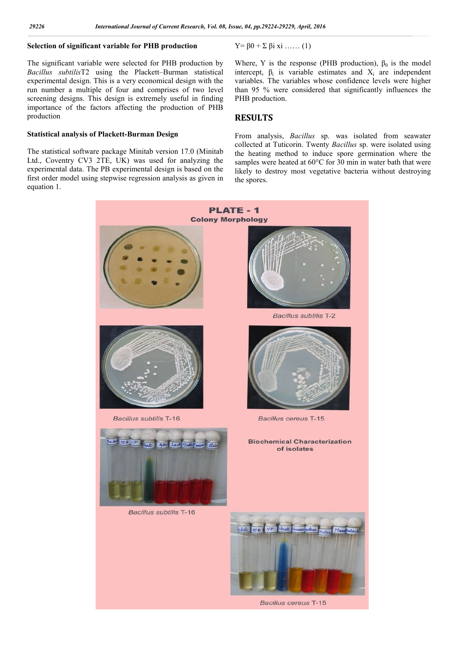# **Selection of significant variable for PHB production**

The significant variable were selected for PHB production by *Bacillus subtilis*T2 using the Plackett–Burman statistical experimental design. This is a very economical design with the run number a multiple of four and comprises of two level screening designs. This design is extremely useful in finding importance of the factors affecting the production of PHB production

## **Statistical analysis of Plackett-Burman Design**

The statistical software package Minitab version 17.0 (Minitab Ltd., Coventry CV3 2TE, UK) was used for analyzing the experimental data. The PB experimental design is based on the first order model using stepwise regression analysis as given in equation 1.

$$
Y = \beta 0 + \Sigma \beta i \ x i \ \dots \ (1)
$$

Where, Y is the response (PHB production),  $\beta_0$  is the model intercept,  $\beta_i$  is variable estimates and  $X_i$  are independent variables. The variables whose confidence levels were higher than 95 % were considered that significantly influences the PHB production.

## **RESULTS**

From analysis, *Bacillus* sp. was isolated from seawater collected at Tuticorin. Twenty *Bacillus* sp. were isolated using the heating method to induce spore germination where the samples were heated at 60°C for 30 min in water bath that were likely to destroy most vegetative bacteria without destroying the spores.

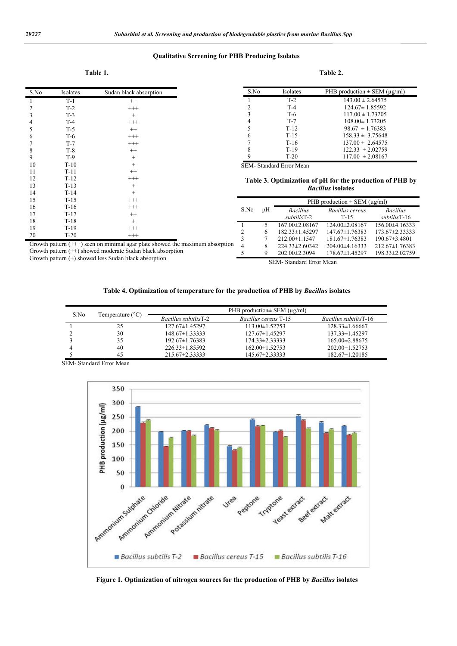j.

#### **Qualitative Screening for PHB Producing Isolates**

#### **Table 1.** Table 2.

| S.No           | Isolates | Sudan black absorption |
|----------------|----------|------------------------|
| $\mathbf{1}$   | $T-1$    | $^{++}$                |
|                | $T-2$    | $^{+++}$               |
| $\frac{2}{3}$  | $T-3$    | $^{+}$                 |
|                | $T-4$    | $^{+++}$               |
| $\frac{4}{5}$  | $T-5$    | $^{++}$                |
| 6              | $T-6$    | $^{+++}$               |
| $\overline{7}$ | $T-7$    | $^{+++}$               |
| 8              | $T-8$    | $^{++}$                |
| 9              | $T-9$    | $^{+}$                 |
| 10             | $T-10$   | $^{+}$                 |
| 11             | $T-11$   | $^{++}$                |
| 12             | $T-12$   | $^{+++}$               |
| 13             | $T-13$   | $^{+}$                 |
| 14             | $T-14$   | $^{+}$                 |
| 15             | $T-15$   | $^{+++}$               |
| 16             | $T-16$   | $^{+++}$               |
| 17             | $T-17$   | $^{++}$                |
| 18             | $T-18$   | $^+$                   |
| 19             | $T-19$   | $^{+++}$               |

| `able |  |
|-------|--|
|-------|--|

| S.No           | Isolates | PHB production $\pm$ SEM ( $\mu$ g/ml) |
|----------------|----------|----------------------------------------|
|                | $T-2$    | $143.00 \pm 2.64575$                   |
| 2              | $T-4$    | $124.67 \pm 1.85592$                   |
| 3              | $T-6$    | $117.00 \pm 1.73205$                   |
| $\overline{4}$ | $T-7$    | $108.00 \pm 1.73205$                   |
| 5              | $T-12$   | $98.67 \pm 1.76383$                    |
| 6              | $T-1.5$  | $158.33 \pm 3.75648$                   |
|                | $T-16$   | $137.00 \pm 2.64575$                   |
| 8              | $T-19$   | $122.33 \pm 2.02759$                   |
| 9              | $T-20$   | $117.00 \pm 2.08167$                   |

SEM- Standard Error Mean

#### **Table 3. Optimization of pH for the production of PHB by**  *Bacillus* **isolates**

| 15                                                                             | T-15   | $^{+++}$ |      |                      |                      | PHB production $\pm$ SEM ( $\mu$ g/ml) |                      |
|--------------------------------------------------------------------------------|--------|----------|------|----------------------|----------------------|----------------------------------------|----------------------|
| 16                                                                             | T-16   | $^{+++}$ | S.No | pH                   | <b>Bacillus</b>      | Bacillus cereus                        | <b>Bacillus</b>      |
| 17                                                                             | $T-17$ | $^{++}$  |      |                      | subtilisT-2          | T-15                                   | subtilisT-16         |
| 18                                                                             | T-18   |          |      |                      |                      |                                        |                      |
| 19                                                                             |        |          |      |                      | $167.00\pm2.08167$   | $124.00 \pm 2.08167$                   | $156.00\pm4.16333$   |
|                                                                                | T-19   | $^{+++}$ |      |                      | $182.33 \pm 1.45297$ | $147.67 \pm 1.76383$                   | $173.67 \pm 2.33333$ |
| 20                                                                             | $T-20$ | $^{+++}$ |      |                      | $212.00 \pm 1.1547$  | $181.67 \pm 1.76383$                   | $190.67 \pm 3.4801$  |
|                                                                                |        |          |      |                      |                      |                                        |                      |
| Growth pattern $(++)$ seen on minimal agar plate showed the maximum absorption |        |          |      | $224.33 \pm 2.60342$ | $204.00\pm4.16333$   | $212.67 \pm 1.76383$                   |                      |
| Growth pattern $(++)$ showed moderate Sudan black absorption                   |        |          |      | $202.00 \pm 2.3094$  | $178.67 \pm 1.45297$ | 198.33±2.02759                         |                      |
| Growth pattern $(+)$ showed less Sudan black absorption                        |        |          |      | $CDM, C_1, 1, 1, 1$  | $\mathbf{r}$         |                                        |                      |

SEM- Standard Error Mean

#### **Table 4. Optimization of temperature for the production of PHB by** *Bacillus* **isolates**

| S.No | Temperature $(^{\circ}C)$ | PHB production $\pm$ SEM ( $\mu$ g/ml) |                             |                               |  |
|------|---------------------------|----------------------------------------|-----------------------------|-------------------------------|--|
|      |                           | <i>Bacillus subtilis</i> T-2           | <i>Bacillus cereus</i> T-15 | <i>Bacillus subtilis</i> T-16 |  |
|      | 25                        | $127.67 \pm 1.45297$                   | $113.00 \pm 1.52753$        | $128.33 \pm 1.66667$          |  |
|      | 30                        | $148.67 \pm 1.33333$                   | 127.67±1.45297              | $137.33 \pm 1.45297$          |  |
|      | 35                        | $192.67 \pm 1.76383$                   | $174.33 \pm 2.33333$        | $165.00 \pm 2.88675$          |  |
|      | 40                        | $226.33\pm1.85592$                     | 162.00 ± 1.52753            | $202.00 \pm 1.52753$          |  |
|      | 45                        | $215.67 \pm 2.33333$                   | 145.67±2.33333              | $182.67 \pm 1.20185$          |  |

SEM- Standard Error Mean



**Figure 1. Optimization of nitrogen sources for the production of PHB by** *Bacillus* **isolates**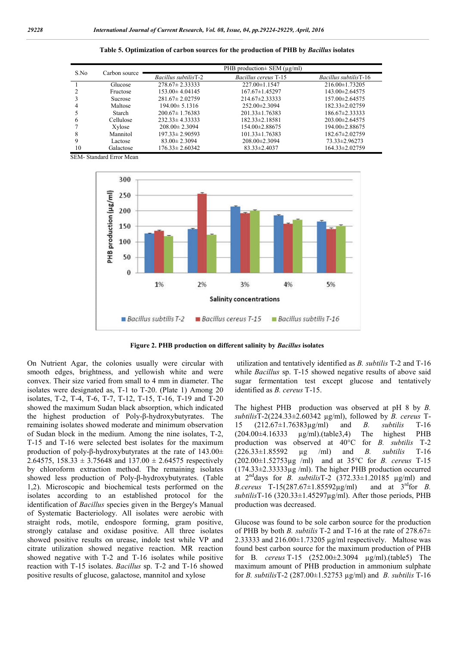| S.No | Carbon source  | PHB production $\pm$ SEM ( $\mu$ g/ml) |                             |                               |  |
|------|----------------|----------------------------------------|-----------------------------|-------------------------------|--|
|      |                | <i>Bacillus subtilis</i> T-2           | <i>Bacillus cereus</i> T-15 | <i>Bacillus subtilis</i> T-16 |  |
|      | Glucose        | $278.67 \pm 2.33333$                   | 227.00±1.1547               | $216.00 \pm 1.73205$          |  |
|      | Fructose       | $153.00 \pm 4.04145$                   | 167.67±1.45297              | 143.00 ± 2.64575              |  |
|      | <b>Sucrose</b> | $281.67 \pm 2.02759$                   | 214.67±2.33333              | 157.00 ± 2.64575              |  |
|      | Maltose        | $194.00 \pm 5.1316$                    | $252.00 \pm 2.3094$         | 182.33±2.02759                |  |
|      | Starch         | $200.67 \pm 1.76383$                   | $201.33 \pm 1.76383$        | 186.67±2.33333                |  |
| 6    | Cellulose      | $232.33 \pm 4.33333$                   | 182.33±2.18581              | $203.00 \pm 2.64575$          |  |
|      | Xylose         | $208.00 \pm 2.3094$                    | 154.00±2.88675              | 194.00 ± 2.88675              |  |
| 8    | Mannitol       | $197.33 \pm 2.90593$                   | $101.33 \pm 1.76383$        | 182.67±2.02759                |  |
|      | Lactose        | $83.00 \pm 2.3094$                     | $208.00 \pm 2.3094$         | 73.33±2.96273                 |  |
| 10   | Galactose      | $176.33 \pm 2.60342$                   | $83.33 \pm 2.4037$          | 164.33±2.02759                |  |

**Table 5. Optimization of carbon sources for the production of PHB by** *Bacillus* **isolates**

SEM- Standard Error Mean



**Figure 2. PHB production on different salinity by** *Bacillus* **isolates**

On Nutrient Agar, the colonies usually were circular with smooth edges, brightness, and yellowish white and were convex. Their size varied from small to 4 mm in diameter. The isolates were designated as, T-1 to T-20. (Plate 1) Among 20 isolates, T-2, T-4, T-6, T-7, T-12, T-15, T-16, T-19 and T-20 showed the maximum Sudan black absorption, which indicated the highest production of Poly-β-hydroxybutyrates. The remaining isolates showed moderate and minimum observation of Sudan block in the medium. Among the nine isolates, T-2, T-15 and T-16 were selected best isolates for the maximum production of poly-β-hydroxybutyrates at the rate of 143.00± 2.64575, 158.33  $\pm$  3.75648 and 137.00  $\pm$  2.64575 respectively by chloroform extraction method. The remaining isolates showed less production of Poly-β-hydroxybutyrates. (Table 1,2). Microscopic and biochemical tests performed on the isolates according to an established protocol for the identification of *Bacillus* species given in the Bergey's Manual of Systematic Bacteriology. All isolates were aerobic with straight rods, motile, endospore forming, gram positive, strongly catalase and oxidase positive. All three isolates showed positive results on urease, indole test while VP and citrate utilization showed negative reaction. MR reaction showed negative with T-2 and T-16 isolates while positive reaction with T-15 isolates. *Bacillus* sp. T-2 and T-16 showed positive results of glucose, galactose, mannitol and xylose

utilization and tentatively identified as *B. subtilis* T-2 and T-16 while *Bacillus* sp. T-15 showed negative results of above said sugar fermentation test except glucose and tentatively identified as *B. cereus* T-15.

The highest PHB production was observed at pH 8 by *B. subtilis*T-2(224.33±2.60342 µg/ml), followed by *B. cereus* T-15 (212.67±1.76383µg/ml) and *B. subtilis* T-16 (204.00±4.16333 µg/ml).(table3,4) The highest PHB production was observed at 40°C for *B. subtilis* T-2 (226.33±1.85592 µg /ml) and *B. subtilis* T-16 (202.00±1.52753µg /ml) and at 35°C for *B. cereus* T-15 (174.33±2.33333µg /ml). The higher PHB production occurred at  $2<sup>nd</sup>$ days for *B. subtilis*T-2 (372.33 $\pm$ 1.20185  $\mu$ g/ml) and *B.cereus* T-15(287.67±1.85592µg/ml) and at 3rdfor *B. subtilis*T-16 (320.33±1.45297µg/ml). After those periods, PHB production was decreased.

Glucose was found to be sole carbon source for the production of PHB by both *B. subtilis* T-2 and T-16 at the rate of 278.67± 2.33333 and 216.00±1.73205 µg/ml respectively. Maltose was found best carbon source for the maximum production of PHB for B*. cereus* T-15 (252.00±2.3094 µg/ml).(table5) The maximum amount of PHB production in ammonium sulphate for *B. subtilis*T-2 (287.00±1.52753 µg/ml) and *B. subtilis* T-16